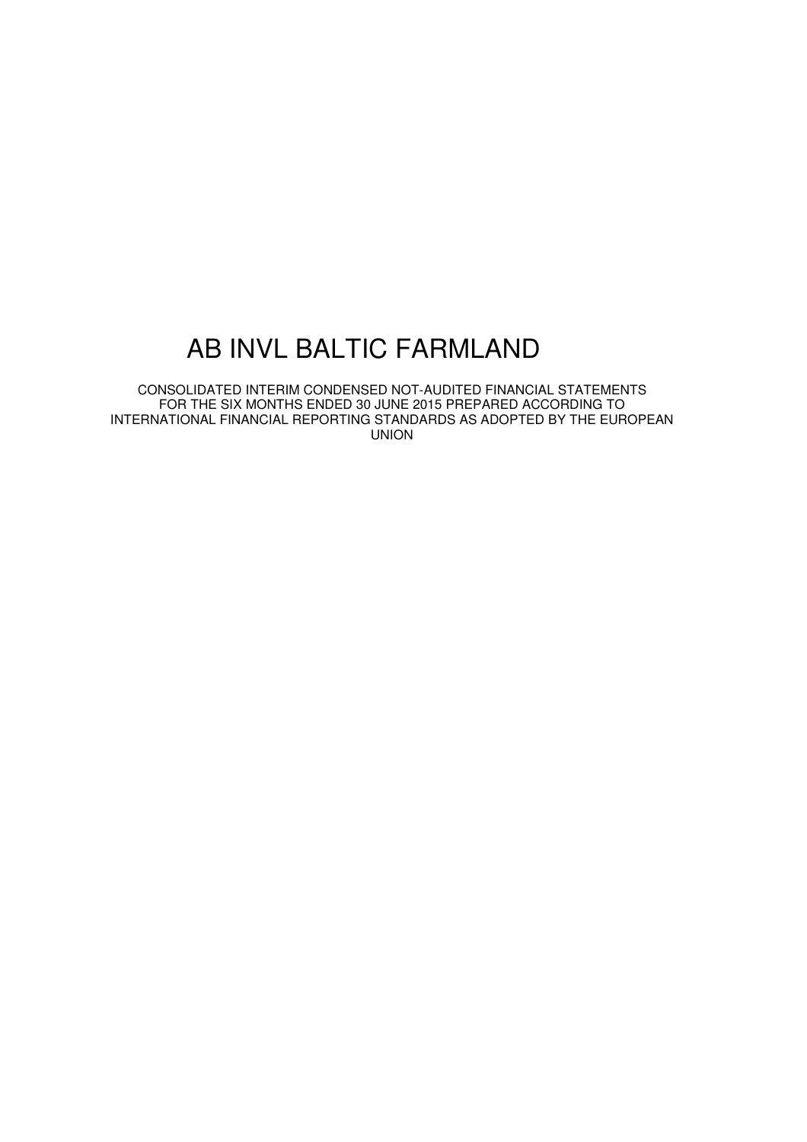# AB INVL BALTIC FARMLAND

CONSOLIDATED INTERIM CONDENSED NOT-AUDITED FINANCIAL STATEMENTS FOR THE SIX MONTHS ENDED 30 JUNE 2015 PREPARED ACCORDING TO INTERNATIONAL FINANCIAL REPORTING STANDARDS AS ADOPTED BY THE EUROPEAN UNION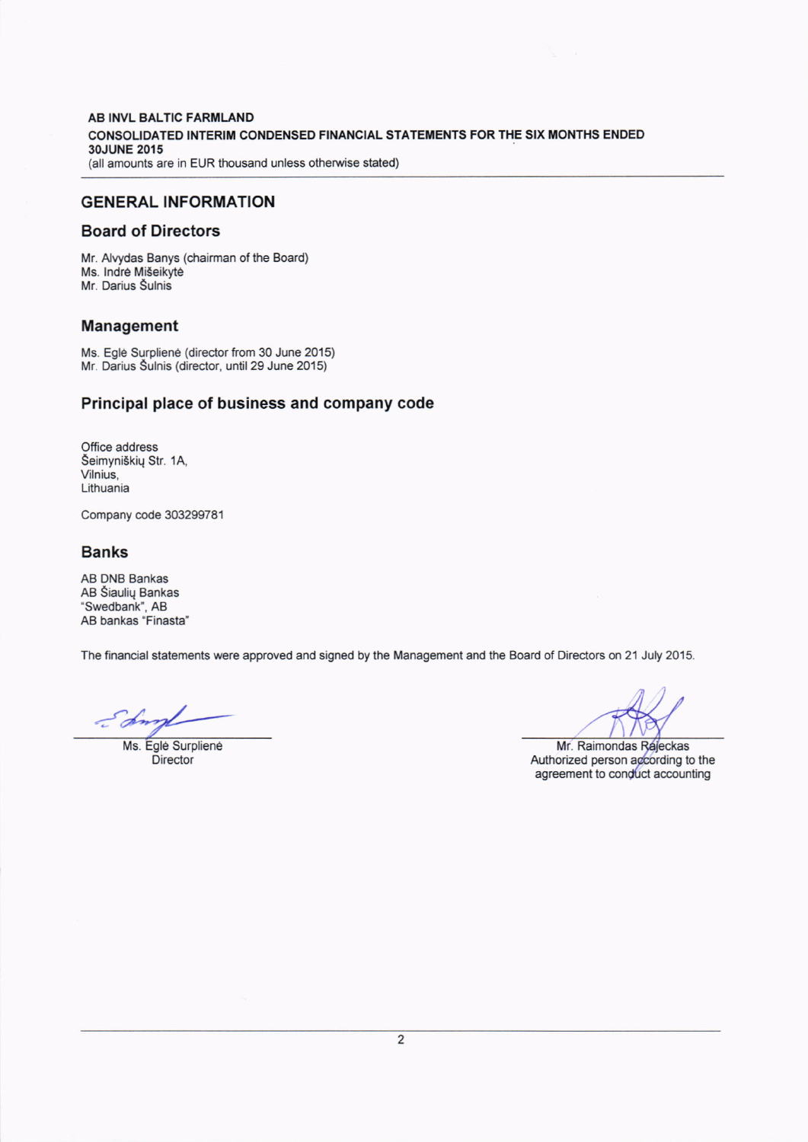#### AB INVL BALTIC FARMLAND CONSOLIDATED INTERIM CONDENSED FINANCIAL STATEMENTS FOR THE SIX MONTHS ENDED 3OJUNE 2015 (all amounts are in EUR thousand unless otherwise stated)

### GENERAL !NFORMATION

### Board of Directors

Mr. Alvydas Banys (chairman of the Board) Ms. Indré Mišeikyté Mr. Darius Šulnis

### Management

Ms. Egle Surpliene (director from 30 June 2015) Mr. Darius Šulnis (director, until 29 June 2015)

### Principal place of business and company code

Office address Seimyniskiq Str. 1A, Vilnius, Lithuania

Company code 303299781

### Banks

AB DNB BanKas AB Siauliq Bankas "Swedbank', AB AB bankas "Finasta'

The financial statements were approved and signed by the Management and the Board of Directors on 21 July 2015.

 $\epsilon$  din

Ms. Egle Surpliene Ms. Egle Surpliene Mr. Raimondas Rejeckas Director Authorized person according to the<br>agreement to conduct accounting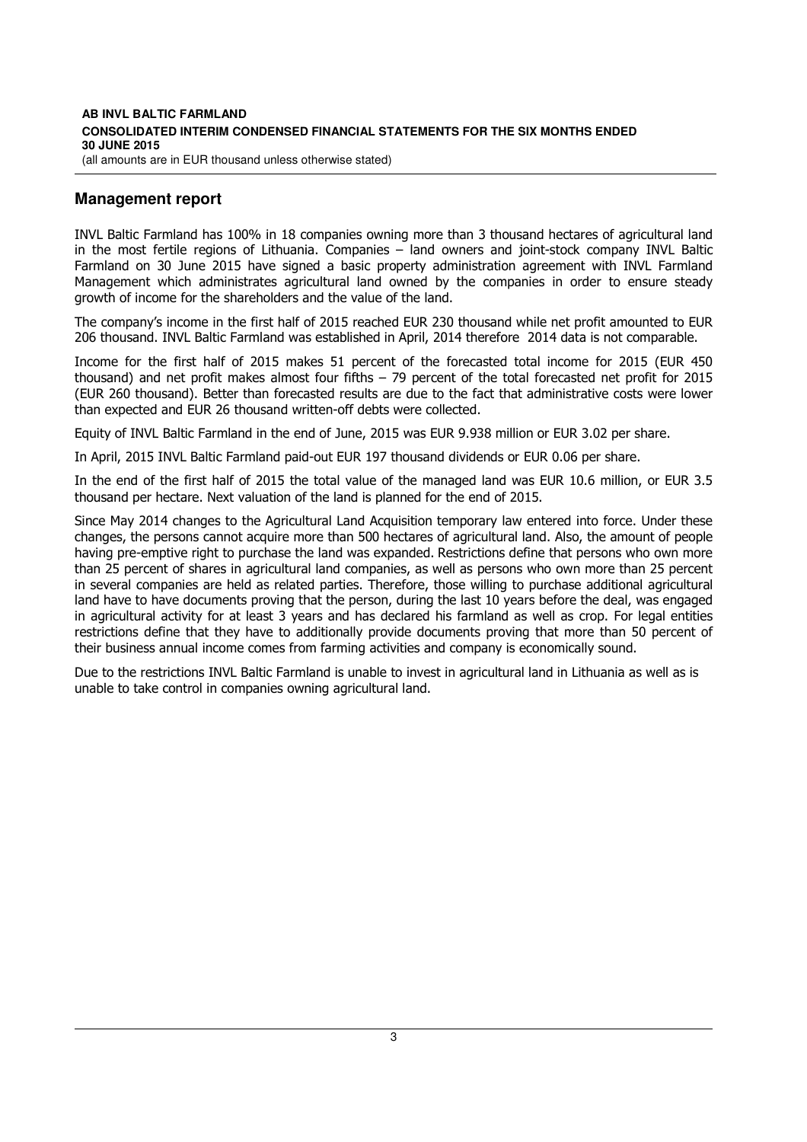#### **AB INVL BALTIC FARMLAND CONSOLIDATED INTERIM CONDENSED FINANCIAL STATEMENTS FOR THE SIX MONTHS ENDED 30 JUNE 2015**  (all amounts are in EUR thousand unless otherwise stated)

## **Management report**

INVL Baltic Farmland has 100% in 18 companies owning more than 3 thousand hectares of agricultural land in the most fertile regions of Lithuania. Companies – land owners and joint-stock company INVL Baltic Farmland on 30 June 2015 have signed a basic property administration agreement with INVL Farmland Management which administrates agricultural land owned by the companies in order to ensure steady growth of income for the shareholders and the value of the land.

The company's income in the first half of 2015 reached EUR 230 thousand while net profit amounted to EUR 206 thousand. INVL Baltic Farmland was established in April, 2014 therefore 2014 data is not comparable.

Income for the first half of 2015 makes 51 percent of the forecasted total income for 2015 (EUR 450 thousand) and net profit makes almost four fifths – 79 percent of the total forecasted net profit for 2015 (EUR 260 thousand). Better than forecasted results are due to the fact that administrative costs were lower than expected and EUR 26 thousand written-off debts were collected.

Equity of INVL Baltic Farmland in the end of June, 2015 was EUR 9.938 million or EUR 3.02 per share.

In April, 2015 INVL Baltic Farmland paid-out EUR 197 thousand dividends or EUR 0.06 per share.

In the end of the first half of 2015 the total value of the managed land was EUR 10.6 million, or EUR 3.5 thousand per hectare. Next valuation of the land is planned for the end of 2015.

Since May 2014 changes to the Agricultural Land Acquisition temporary law entered into force. Under these changes, the persons cannot acquire more than 500 hectares of agricultural land. Also, the amount of people having pre-emptive right to purchase the land was expanded. Restrictions define that persons who own more than 25 percent of shares in agricultural land companies, as well as persons who own more than 25 percent in several companies are held as related parties. Therefore, those willing to purchase additional agricultural land have to have documents proving that the person, during the last 10 years before the deal, was engaged in agricultural activity for at least 3 years and has declared his farmland as well as crop. For legal entities restrictions define that they have to additionally provide documents proving that more than 50 percent of their business annual income comes from farming activities and company is economically sound.

Due to the restrictions INVL Baltic Farmland is unable to invest in agricultural land in Lithuania as well as is unable to take control in companies owning agricultural land.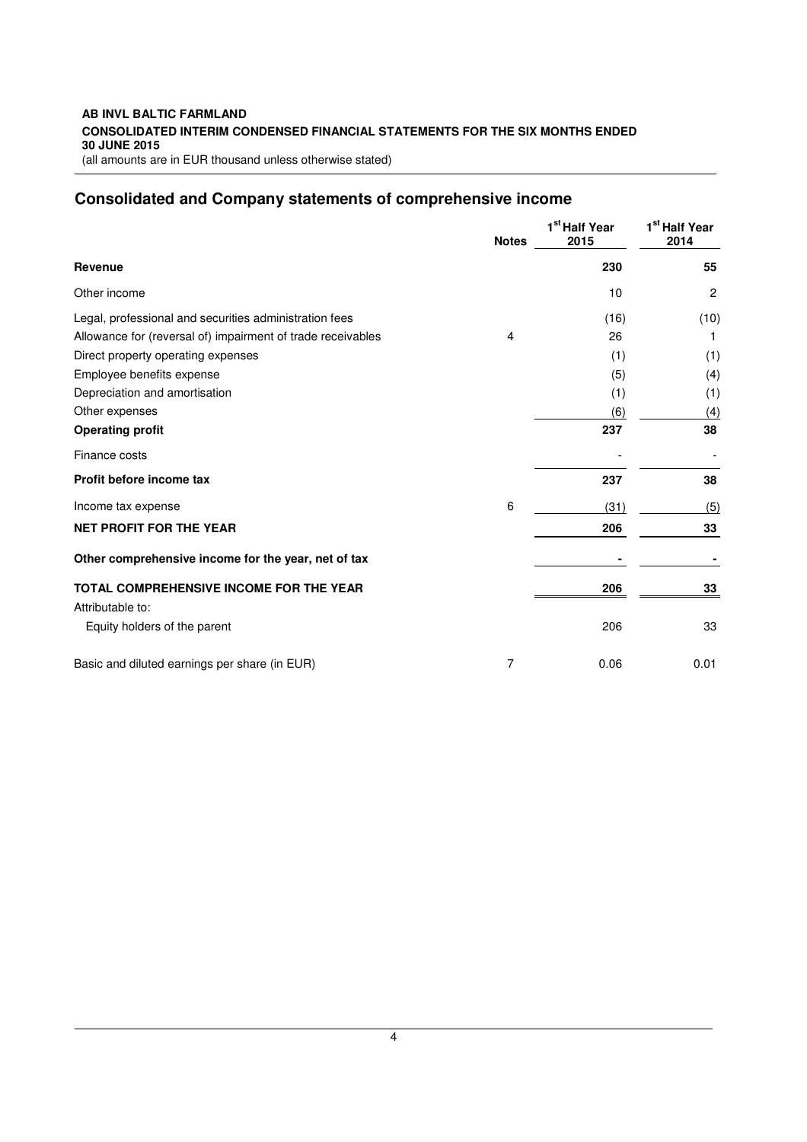#### **AB INVL BALTIC FARMLAND CONSOLIDATED INTERIM CONDENSED FINANCIAL STATEMENTS FOR THE SIX MONTHS ENDED 30 JUNE 2015**  (all amounts are in EUR thousand unless otherwise stated)

# **Consolidated and Company statements of comprehensive income**

|                                                             | <b>Notes</b> | 1 <sup>st</sup> Half Year<br>2015 | 1 <sup>st</sup> Half Year<br>2014 |
|-------------------------------------------------------------|--------------|-----------------------------------|-----------------------------------|
| Revenue                                                     |              | 230                               | 55                                |
| Other income                                                |              | 10                                | 2                                 |
| Legal, professional and securities administration fees      |              | (16)                              | (10)                              |
| Allowance for (reversal of) impairment of trade receivables | 4            | 26                                |                                   |
| Direct property operating expenses                          |              | (1)                               | (1)                               |
| Employee benefits expense                                   |              | (5)                               | (4)                               |
| Depreciation and amortisation                               |              | (1)                               | (1)                               |
| Other expenses                                              |              | (6)                               | (4)                               |
| <b>Operating profit</b>                                     |              | 237                               | 38                                |
| Finance costs                                               |              |                                   |                                   |
| Profit before income tax                                    |              | 237                               | 38                                |
| Income tax expense                                          | 6            | (31)                              | (5)                               |
| <b>NET PROFIT FOR THE YEAR</b>                              |              | 206                               | 33                                |
| Other comprehensive income for the year, net of tax         |              |                                   |                                   |
| TOTAL COMPREHENSIVE INCOME FOR THE YEAR                     |              | 206                               | 33                                |
| Attributable to:                                            |              |                                   |                                   |
| Equity holders of the parent                                |              | 206                               | 33                                |
| Basic and diluted earnings per share (in EUR)               | 7            | 0.06                              | 0.01                              |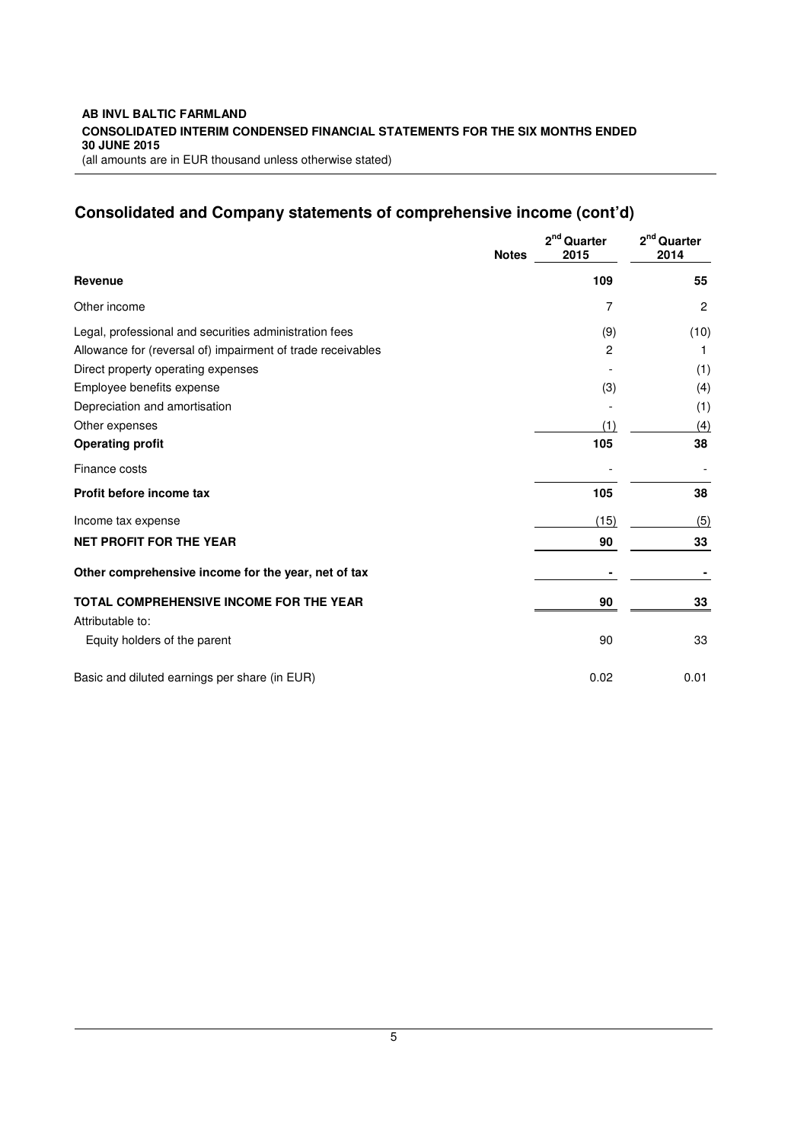# **Consolidated and Company statements of comprehensive income (cont'd)**

|                                                             | <b>Notes</b> | 2 <sup>nd</sup> Quarter<br>2015 | $2nd$ Quarter<br>2014 |
|-------------------------------------------------------------|--------------|---------------------------------|-----------------------|
| <b>Revenue</b>                                              |              | 109                             | 55                    |
| Other income                                                |              | 7                               | $\overline{c}$        |
| Legal, professional and securities administration fees      |              | (9)                             | (10)                  |
| Allowance for (reversal of) impairment of trade receivables |              | 2                               | 1                     |
| Direct property operating expenses                          |              |                                 | (1)                   |
| Employee benefits expense                                   |              | (3)                             | (4)                   |
| Depreciation and amortisation                               |              |                                 | (1)                   |
| Other expenses                                              |              | (1)                             | (4)                   |
| <b>Operating profit</b>                                     |              | 105                             | 38                    |
| Finance costs                                               |              |                                 |                       |
| Profit before income tax                                    |              | 105                             | 38                    |
| Income tax expense                                          |              | (15)                            | (5)                   |
| <b>NET PROFIT FOR THE YEAR</b>                              |              | 90                              | 33                    |
| Other comprehensive income for the year, net of tax         |              |                                 |                       |
| <b>TOTAL COMPREHENSIVE INCOME FOR THE YEAR</b>              |              | 90                              | 33                    |
| Attributable to:                                            |              |                                 |                       |
| Equity holders of the parent                                |              | 90                              | 33                    |
| Basic and diluted earnings per share (in EUR)               |              | 0.02                            | 0.01                  |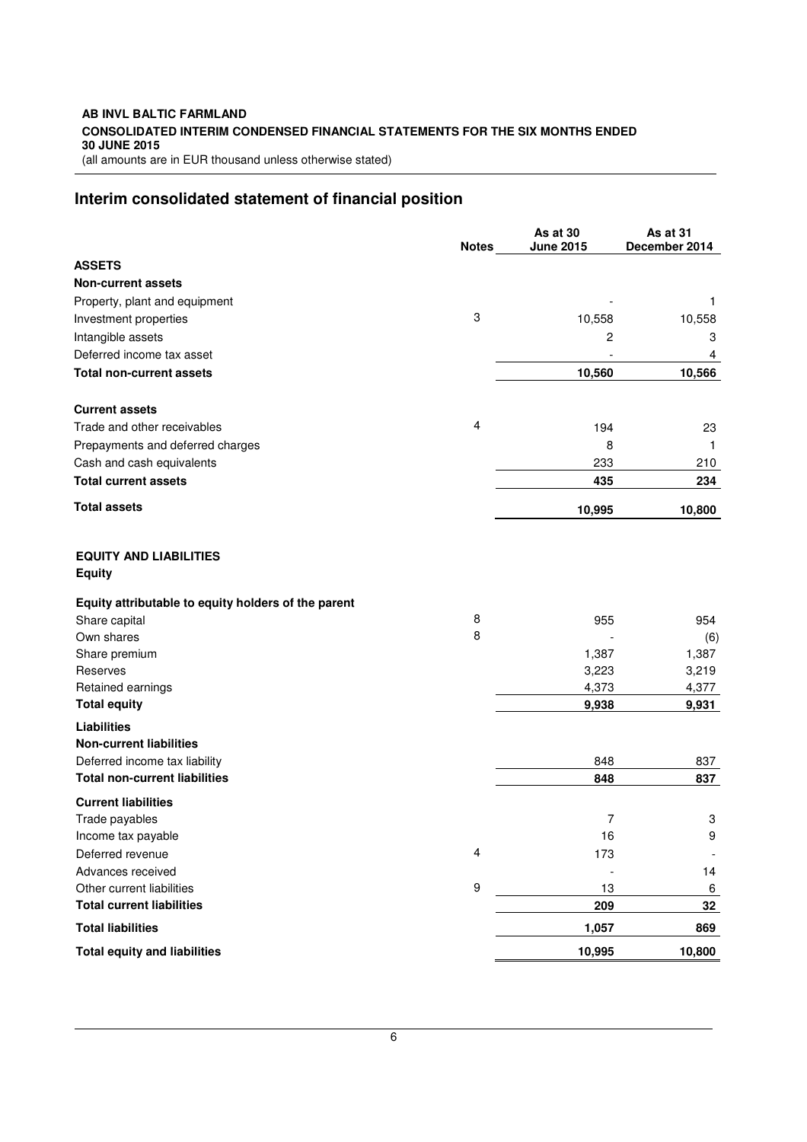#### **AB INVL BALTIC FARMLAND CONSOLIDATED INTERIM CONDENSED FINANCIAL STATEMENTS FOR THE SIX MONTHS ENDED 30 JUNE 2015**  (all amounts are in EUR thousand unless otherwise stated)

# **Interim consolidated statement of financial position**

|                                                     | <b>Notes</b>     | As at 30<br><b>June 2015</b> | As at 31<br>December 2014 |
|-----------------------------------------------------|------------------|------------------------------|---------------------------|
| <b>ASSETS</b>                                       |                  |                              |                           |
| <b>Non-current assets</b>                           |                  |                              |                           |
| Property, plant and equipment                       |                  |                              | 1                         |
| Investment properties                               | 3                | 10,558                       | 10,558                    |
| Intangible assets                                   |                  | 2                            | 3                         |
| Deferred income tax asset                           |                  |                              | 4                         |
| <b>Total non-current assets</b>                     |                  | 10,560                       | 10,566                    |
| <b>Current assets</b>                               |                  |                              |                           |
| Trade and other receivables                         | 4                | 194                          | 23                        |
| Prepayments and deferred charges                    |                  | 8                            | -1                        |
| Cash and cash equivalents                           |                  | 233                          | 210                       |
| <b>Total current assets</b>                         |                  | 435                          | 234                       |
| <b>Total assets</b>                                 |                  | 10,995                       | 10,800                    |
| <b>EQUITY AND LIABILITIES</b><br><b>Equity</b>      |                  |                              |                           |
| Equity attributable to equity holders of the parent |                  |                              |                           |
| Share capital                                       | 8                | 955                          | 954                       |
| Own shares                                          | 8                |                              | (6)                       |
| Share premium                                       |                  | 1,387                        | 1,387                     |
| Reserves                                            |                  | 3,223<br>4,373               | 3,219                     |
| Retained earnings<br><b>Total equity</b>            |                  | 9,938                        | 4,377<br>9,931            |
| <b>Liabilities</b>                                  |                  |                              |                           |
| <b>Non-current liabilities</b>                      |                  |                              |                           |
| Deferred income tax liability                       |                  | 848                          | 837                       |
| <b>Total non-current liabilities</b>                |                  | 848                          | 837                       |
| <b>Current liabilities</b>                          |                  |                              |                           |
| Trade payables                                      |                  | 7                            | 3                         |
| Income tax payable                                  |                  | 16                           | 9                         |
| Deferred revenue                                    | 4                | 173                          |                           |
| Advances received                                   |                  |                              | 14                        |
| Other current liabilities                           | $\boldsymbol{9}$ | 13                           | 6                         |
| <b>Total current liabilities</b>                    |                  | 209                          | 32                        |
| <b>Total liabilities</b>                            |                  | 1,057                        | 869                       |
| <b>Total equity and liabilities</b>                 |                  | 10,995                       | 10,800                    |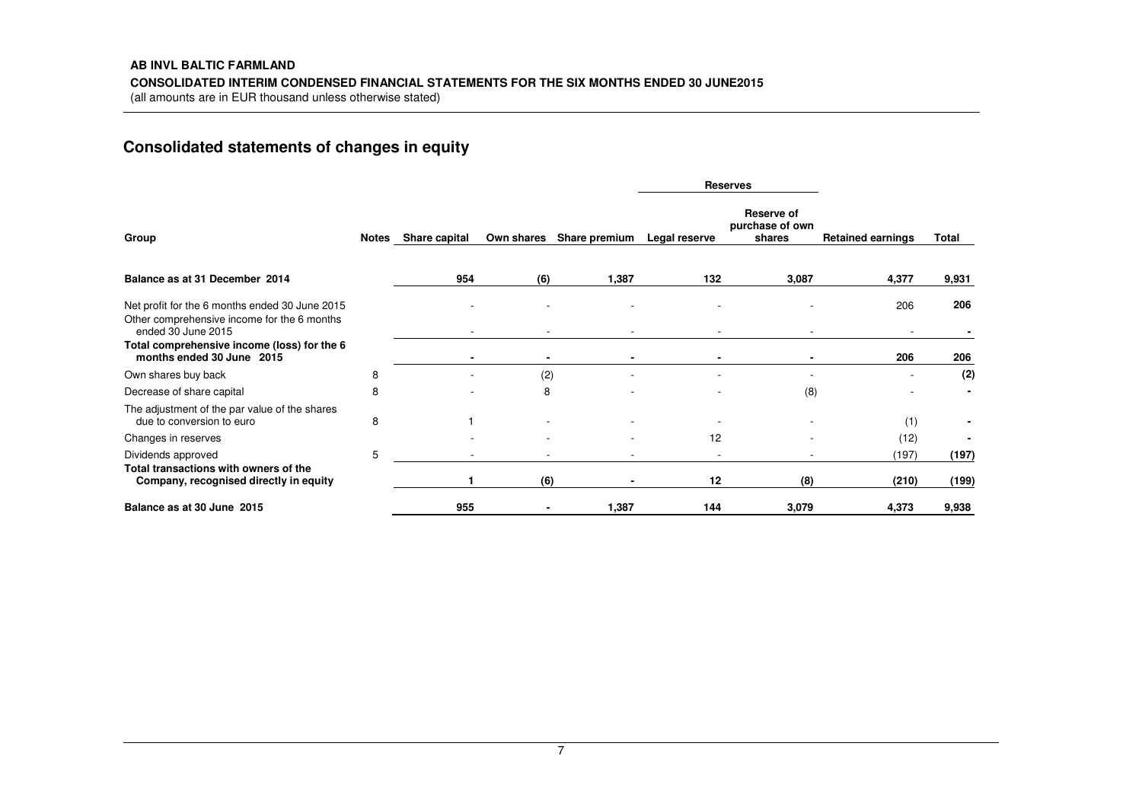# **Consolidated statements of changes in equity**

|                                                                                                                     |   |                     |            |               | <b>Reserves</b> |                                                |                          |       |
|---------------------------------------------------------------------------------------------------------------------|---|---------------------|------------|---------------|-----------------|------------------------------------------------|--------------------------|-------|
| Group                                                                                                               |   | Notes Share capital | Own shares | Share premium | Legal reserve   | <b>Reserve of</b><br>purchase of own<br>shares | <b>Retained earnings</b> | Total |
| Balance as at 31 December 2014                                                                                      |   | 954                 | (6)        | 1,387         | 132             | 3,087                                          | 4,377                    | 9,931 |
| Net profit for the 6 months ended 30 June 2015<br>Other comprehensive income for the 6 months<br>ended 30 June 2015 |   |                     |            |               |                 |                                                | 206                      | 206   |
| Total comprehensive income (loss) for the 6<br>months ended 30 June 2015                                            |   |                     |            |               |                 |                                                | 206                      | 206   |
| Own shares buy back                                                                                                 | 8 |                     | (2)        |               |                 |                                                |                          | (2)   |
| Decrease of share capital                                                                                           | 8 |                     | 8          |               |                 | (8)                                            |                          |       |
| The adjustment of the par value of the shares<br>due to conversion to euro                                          | 8 |                     |            |               |                 |                                                | (1)                      |       |
| Changes in reserves                                                                                                 |   |                     |            |               | 12              |                                                | (12)                     |       |
| Dividends approved                                                                                                  | 5 |                     |            |               |                 |                                                | (197)                    | (197) |
| Total transactions with owners of the<br>Company, recognised directly in equity                                     |   |                     | (6)        |               | 12              | (8)                                            | (210)                    | (199) |
| Balance as at 30 June 2015                                                                                          |   | 955                 |            | 1,387         | 144             | 3,079                                          | 4,373                    | 9,938 |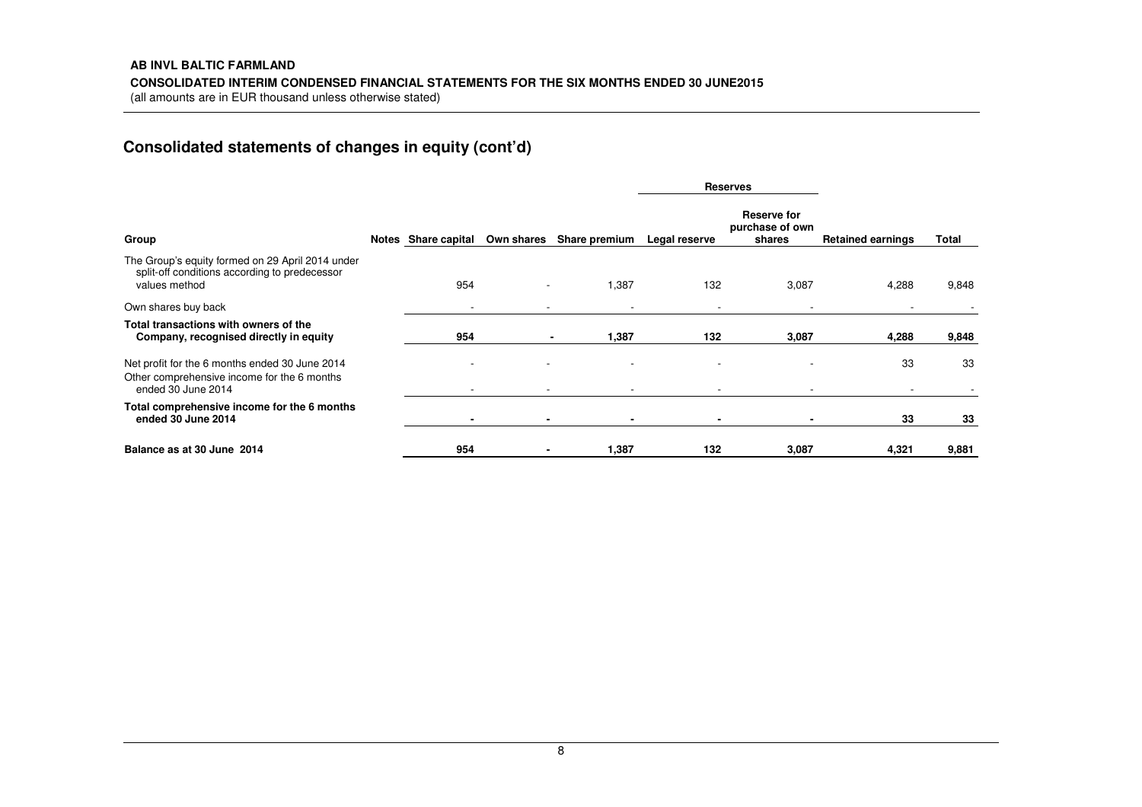# **AB INVL BALTIC FARMLAND CONSOLIDATED INTERIM CONDENSED FINANCIAL STATEMENTS FOR THE SIX MONTHS ENDED 30 JUNE2015**

(all amounts are in EUR thousand unless otherwise stated)

# **Consolidated statements of changes in equity (cont'd)**

|                                                                                                                     |                          |            |                          | <b>Reserves</b> |                                          |                          |       |
|---------------------------------------------------------------------------------------------------------------------|--------------------------|------------|--------------------------|-----------------|------------------------------------------|--------------------------|-------|
| Group                                                                                                               | Notes Share capital      | Own shares | Share premium            | Legal reserve   | Reserve for<br>purchase of own<br>shares | <b>Retained earnings</b> | Total |
| The Group's equity formed on 29 April 2014 under<br>split-off conditions according to predecessor<br>values method  | 954                      |            | 1,387                    | 132             | 3,087                                    | 4,288                    | 9,848 |
| Own shares buy back                                                                                                 | $\overline{\phantom{a}}$ |            | $\overline{\phantom{a}}$ |                 |                                          |                          |       |
| Total transactions with owners of the<br>Company, recognised directly in equity                                     | 954                      |            | 1,387                    | 132             | 3,087                                    | 4,288                    | 9,848 |
| Net profit for the 6 months ended 30 June 2014<br>Other comprehensive income for the 6 months<br>ended 30 June 2014 |                          |            | $\overline{\phantom{a}}$ |                 |                                          | 33                       | 33    |
| Total comprehensive income for the 6 months<br>ended 30 June 2014                                                   |                          |            | $\blacksquare$           |                 |                                          | 33                       | 33    |
| Balance as at 30 June 2014                                                                                          | 954                      |            | 1,387                    | 132             | 3,087                                    | 4,321                    | 9,881 |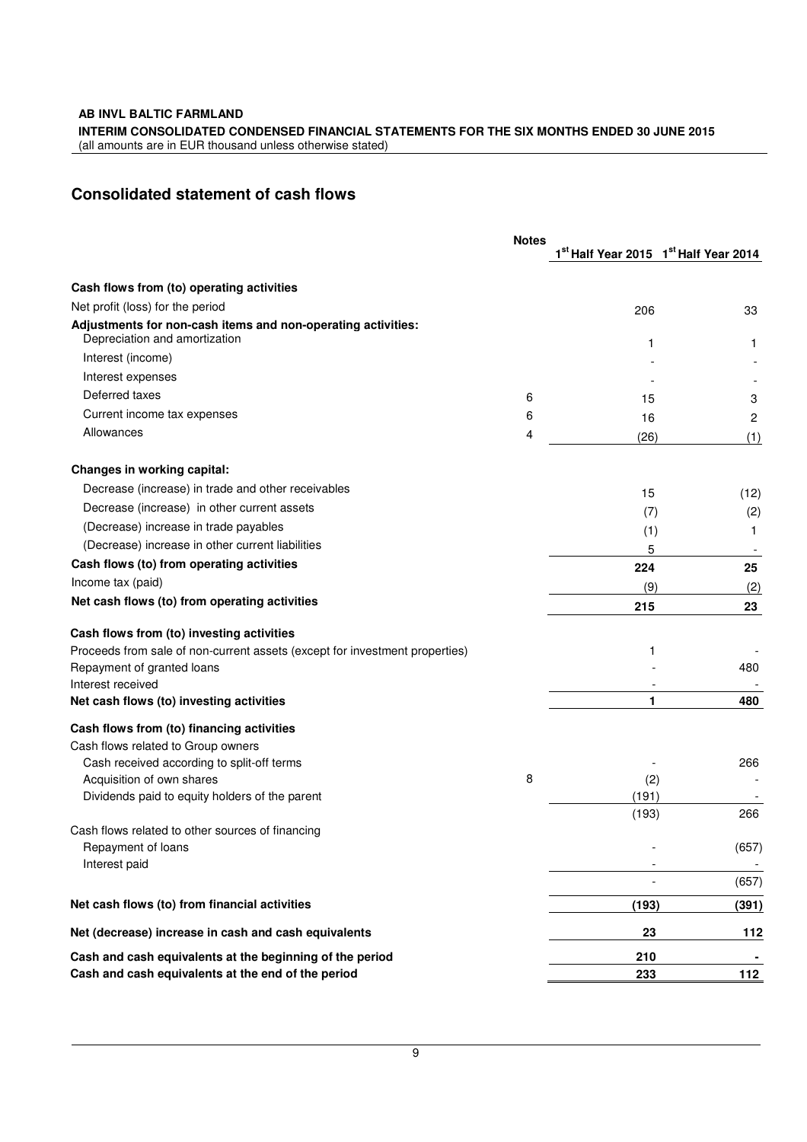**AB INVL BALTIC FARMLAND** 

**INTERIM CONSOLIDATED CONDENSED FINANCIAL STATEMENTS FOR THE SIX MONTHS ENDED 30 JUNE 2015** 

(all amounts are in EUR thousand unless otherwise stated)

# **Consolidated statement of cash flows**

|                                                                                               | <b>Notes</b> |              |                                                               |  |
|-----------------------------------------------------------------------------------------------|--------------|--------------|---------------------------------------------------------------|--|
|                                                                                               |              |              | 1 <sup>st</sup> Half Year 2015 1 <sup>st</sup> Half Year 2014 |  |
| Cash flows from (to) operating activities                                                     |              |              |                                                               |  |
| Net profit (loss) for the period                                                              |              | 206          | 33                                                            |  |
| Adjustments for non-cash items and non-operating activities:<br>Depreciation and amortization |              | 1            | 1                                                             |  |
| Interest (income)                                                                             |              |              |                                                               |  |
| Interest expenses                                                                             |              |              |                                                               |  |
| Deferred taxes                                                                                | 6            | 15           | 3                                                             |  |
| Current income tax expenses                                                                   | 6            | 16           | 2                                                             |  |
| Allowances                                                                                    | 4            | (26)         | (1)                                                           |  |
| Changes in working capital:                                                                   |              |              |                                                               |  |
| Decrease (increase) in trade and other receivables                                            |              | 15           | (12)                                                          |  |
| Decrease (increase) in other current assets                                                   |              | (7)          | (2)                                                           |  |
| (Decrease) increase in trade payables                                                         |              | (1)          | 1                                                             |  |
| (Decrease) increase in other current liabilities                                              |              | 5            |                                                               |  |
| Cash flows (to) from operating activities                                                     |              | 224          | 25                                                            |  |
| Income tax (paid)                                                                             |              | (9)          | (2)                                                           |  |
| Net cash flows (to) from operating activities                                                 |              | 215          | 23                                                            |  |
| Cash flows from (to) investing activities                                                     |              |              |                                                               |  |
| Proceeds from sale of non-current assets (except for investment properties)                   |              | 1            |                                                               |  |
| Repayment of granted loans                                                                    |              |              | 480                                                           |  |
| Interest received                                                                             |              |              |                                                               |  |
| Net cash flows (to) investing activities                                                      |              | 1            | 480                                                           |  |
| Cash flows from (to) financing activities                                                     |              |              |                                                               |  |
| Cash flows related to Group owners                                                            |              |              |                                                               |  |
| Cash received according to split-off terms                                                    |              |              | 266                                                           |  |
| Acquisition of own shares<br>Dividends paid to equity holders of the parent                   | 8            | (2)<br>(191) |                                                               |  |
|                                                                                               |              | (193)        | 266                                                           |  |
| Cash flows related to other sources of financing                                              |              |              |                                                               |  |
| Repayment of loans                                                                            |              |              | (657)                                                         |  |
| Interest paid                                                                                 |              |              | (657)                                                         |  |
| Net cash flows (to) from financial activities                                                 |              | (193)        | (391)                                                         |  |
| Net (decrease) increase in cash and cash equivalents                                          |              | 23           | 112                                                           |  |
| Cash and cash equivalents at the beginning of the period                                      |              | 210          |                                                               |  |
| Cash and cash equivalents at the end of the period                                            |              | 233          | 112                                                           |  |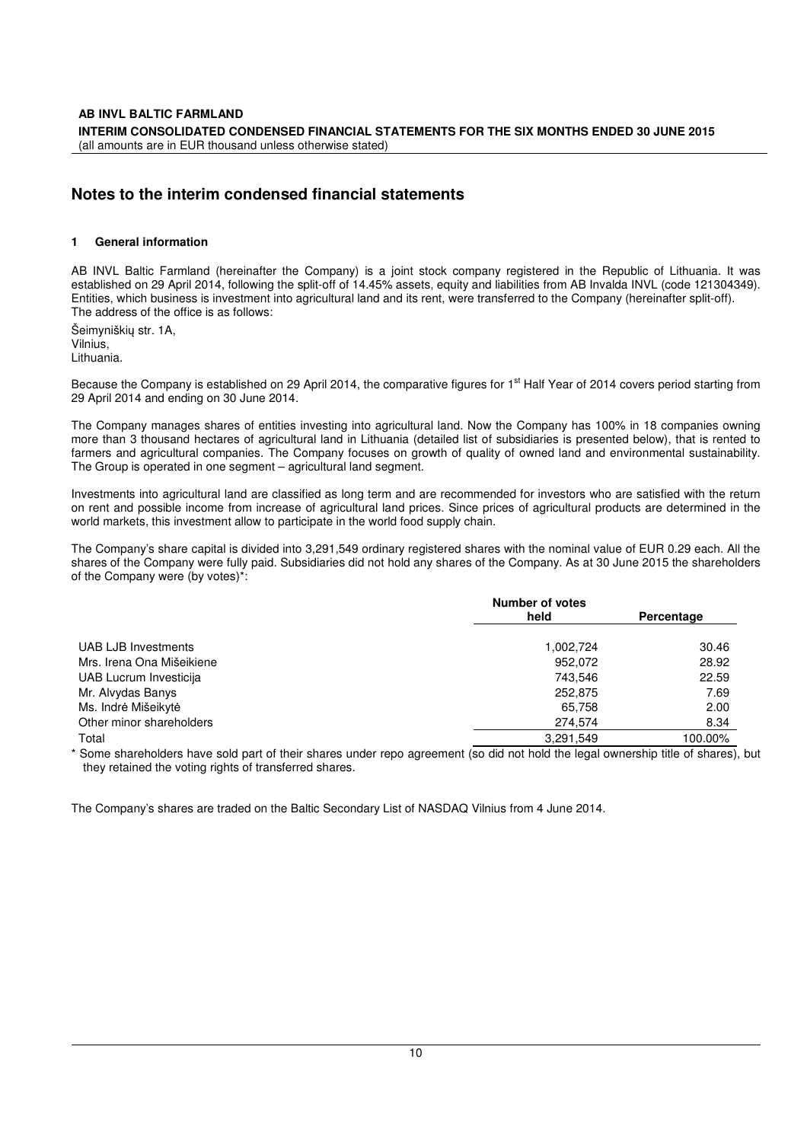# **Notes to the interim condensed financial statements**

#### **1 General information**

AB INVL Baltic Farmland (hereinafter the Company) is a joint stock company registered in the Republic of Lithuania. It was established on 29 April 2014, following the split-off of 14.45% assets, equity and liabilities from AB Invalda INVL (code 121304349). Entities, which business is investment into agricultural land and its rent, were transferred to the Company (hereinafter split-off). The address of the office is as follows:

Šeimyniškių str. 1A, Vilnius, Lithuania.

Because the Company is established on 29 April 2014, the comparative figures for 1<sup>st</sup> Half Year of 2014 covers period starting from 29 April 2014 and ending on 30 June 2014.

The Company manages shares of entities investing into agricultural land. Now the Company has 100% in 18 companies owning more than 3 thousand hectares of agricultural land in Lithuania (detailed list of subsidiaries is presented below), that is rented to farmers and agricultural companies. The Company focuses on growth of quality of owned land and environmental sustainability. The Group is operated in one segment – agricultural land segment.

Investments into agricultural land are classified as long term and are recommended for investors who are satisfied with the return on rent and possible income from increase of agricultural land prices. Since prices of agricultural products are determined in the world markets, this investment allow to participate in the world food supply chain.

The Company's share capital is divided into 3,291,549 ordinary registered shares with the nominal value of EUR 0.29 each. All the shares of the Company were fully paid. Subsidiaries did not hold any shares of the Company. As at 30 June 2015 the shareholders of the Company were (by votes)\*:

|                           | <b>Number of votes</b> |            |
|---------------------------|------------------------|------------|
|                           | held                   | Percentage |
|                           |                        |            |
| UAB LJB Investments       | 1,002,724              | 30.46      |
| Mrs. Irena Ona Mišeikiene | 952,072                | 28.92      |
| UAB Lucrum Investicija    | 743.546                | 22.59      |
| Mr. Alvydas Banys         | 252,875                | 7.69       |
| Ms. Indrė Mišeikytė       | 65.758                 | 2.00       |
| Other minor shareholders  | 274,574                | 8.34       |
| Total                     | 3,291,549              | 100.00%    |

\* Some shareholders have sold part of their shares under repo agreement (so did not hold the legal ownership title of shares), but they retained the voting rights of transferred shares.

The Company's shares are traded on the Baltic Secondary List of NASDAQ Vilnius from 4 June 2014.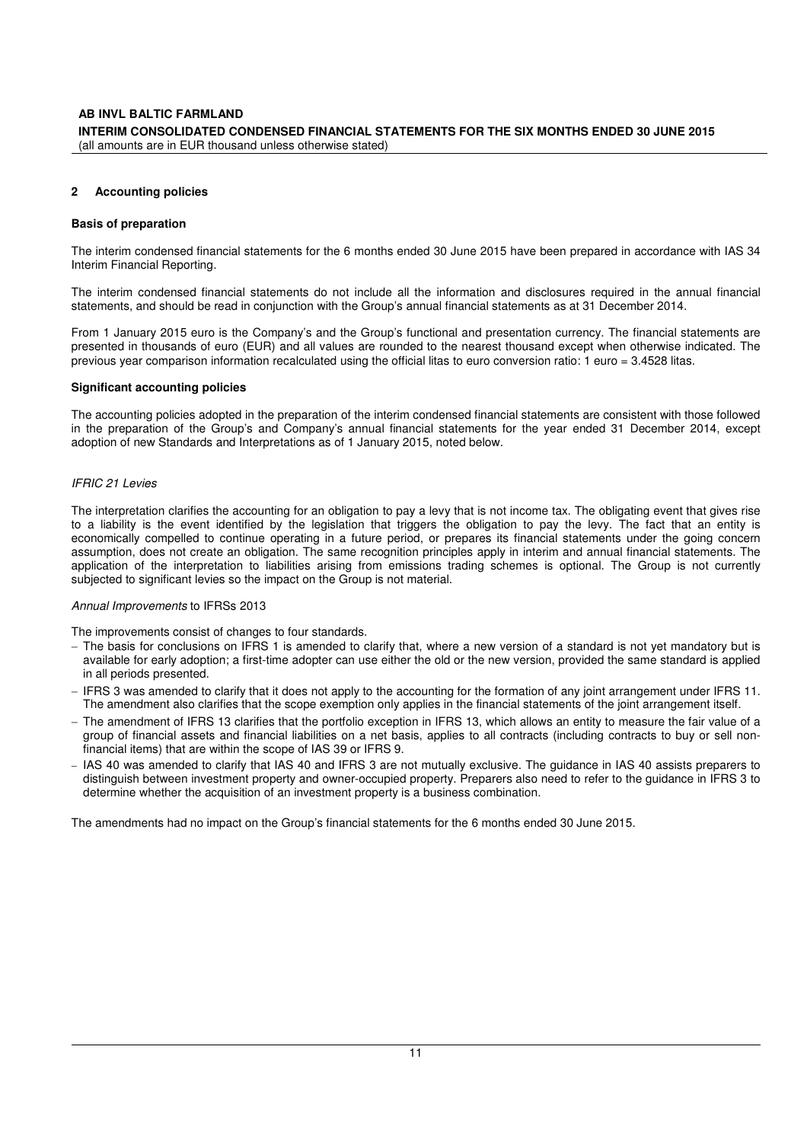#### **2 Accounting policies**

#### **Basis of preparation**

The interim condensed financial statements for the 6 months ended 30 June 2015 have been prepared in accordance with IAS 34 Interim Financial Reporting.

The interim condensed financial statements do not include all the information and disclosures required in the annual financial statements, and should be read in conjunction with the Group's annual financial statements as at 31 December 2014.

From 1 January 2015 euro is the Company's and the Group's functional and presentation currency. The financial statements are presented in thousands of euro (EUR) and all values are rounded to the nearest thousand except when otherwise indicated. The previous year comparison information recalculated using the official litas to euro conversion ratio: 1 euro = 3.4528 litas.

#### **Significant accounting policies**

The accounting policies adopted in the preparation of the interim condensed financial statements are consistent with those followed in the preparation of the Group's and Company's annual financial statements for the year ended 31 December 2014, except adoption of new Standards and Interpretations as of 1 January 2015, noted below.

#### IFRIC 21 Levies

The interpretation clarifies the accounting for an obligation to pay a levy that is not income tax. The obligating event that gives rise to a liability is the event identified by the legislation that triggers the obligation to pay the levy. The fact that an entity is economically compelled to continue operating in a future period, or prepares its financial statements under the going concern assumption, does not create an obligation. The same recognition principles apply in interim and annual financial statements. The application of the interpretation to liabilities arising from emissions trading schemes is optional. The Group is not currently subjected to significant levies so the impact on the Group is not material.

#### Annual Improvements to IFRSs 2013

The improvements consist of changes to four standards.

- − The basis for conclusions on IFRS 1 is amended to clarify that, where a new version of a standard is not yet mandatory but is available for early adoption; a first-time adopter can use either the old or the new version, provided the same standard is applied in all periods presented.
- − IFRS 3 was amended to clarify that it does not apply to the accounting for the formation of any joint arrangement under IFRS 11. The amendment also clarifies that the scope exemption only applies in the financial statements of the joint arrangement itself.
- − The amendment of IFRS 13 clarifies that the portfolio exception in IFRS 13, which allows an entity to measure the fair value of a group of financial assets and financial liabilities on a net basis, applies to all contracts (including contracts to buy or sell nonfinancial items) that are within the scope of IAS 39 or IFRS 9.
- − IAS 40 was amended to clarify that IAS 40 and IFRS 3 are not mutually exclusive. The guidance in IAS 40 assists preparers to distinguish between investment property and owner-occupied property. Preparers also need to refer to the guidance in IFRS 3 to determine whether the acquisition of an investment property is a business combination.

The amendments had no impact on the Group's financial statements for the 6 months ended 30 June 2015.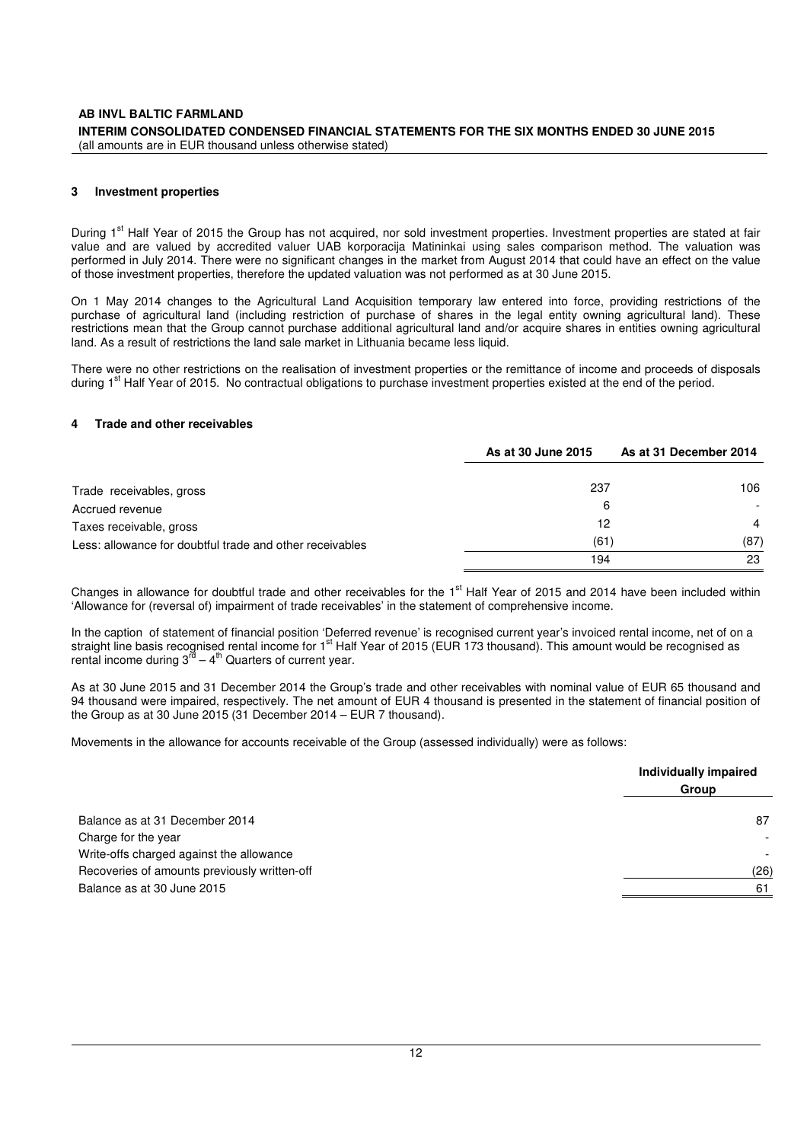#### **AB INVL BALTIC FARMLAND INTERIM CONSOLIDATED CONDENSED FINANCIAL STATEMENTS FOR THE SIX MONTHS ENDED 30 JUNE 2015**  (all amounts are in EUR thousand unless otherwise stated)

#### **3 Investment properties**

During 1<sup>st</sup> Half Year of 2015 the Group has not acquired, nor sold investment properties. Investment properties are stated at fair value and are valued by accredited valuer UAB korporacija Matininkai using sales comparison method. The valuation was performed in July 2014. There were no significant changes in the market from August 2014 that could have an effect on the value of those investment properties, therefore the updated valuation was not performed as at 30 June 2015.

On 1 May 2014 changes to the Agricultural Land Acquisition temporary law entered into force, providing restrictions of the purchase of agricultural land (including restriction of purchase of shares in the legal entity owning agricultural land). These restrictions mean that the Group cannot purchase additional agricultural land and/or acquire shares in entities owning agricultural land. As a result of restrictions the land sale market in Lithuania became less liquid.

There were no other restrictions on the realisation of investment properties or the remittance of income and proceeds of disposals during 1<sup>st</sup> Half Year of 2015. No contractual obligations to purchase investment properties existed at the end of the period.

#### **4 Trade and other receivables**

|                                                          | As at 30 June 2015 | As at 31 December 2014 |
|----------------------------------------------------------|--------------------|------------------------|
| Trade receivables, gross                                 | 237                | 106                    |
| Accrued revenue                                          | 6                  |                        |
| Taxes receivable, gross                                  | 12                 | $\overline{4}$         |
| Less: allowance for doubtful trade and other receivables | (61)               | (87)                   |
|                                                          | 194                | 23                     |

Changes in allowance for doubtful trade and other receivables for the 1st Half Year of 2015 and 2014 have been included within 'Allowance for (reversal of) impairment of trade receivables' in the statement of comprehensive income.

In the caption of statement of financial position 'Deferred revenue' is recognised current year's invoiced rental income, net of on a straight line basis recognised rental income for 1<sup>st</sup> Half Year of 2015 (EUR 173 thousand). This amount would be recognised as rental income during  $3^{\overline{c}} - 4^{\overline{b}}$  Quarters of current year.

As at 30 June 2015 and 31 December 2014 the Group's trade and other receivables with nominal value of EUR 65 thousand and 94 thousand were impaired, respectively. The net amount of EUR 4 thousand is presented in the statement of financial position of the Group as at 30 June 2015 (31 December 2014 – EUR 7 thousand).

Movements in the allowance for accounts receivable of the Group (assessed individually) were as follows:

|                                              | Individually impaired    |
|----------------------------------------------|--------------------------|
|                                              | Group                    |
| Balance as at 31 December 2014               | 87                       |
| Charge for the year                          | $\overline{\phantom{a}}$ |
| Write-offs charged against the allowance     |                          |
| Recoveries of amounts previously written-off | (26)                     |
| Balance as at 30 June 2015                   | 61                       |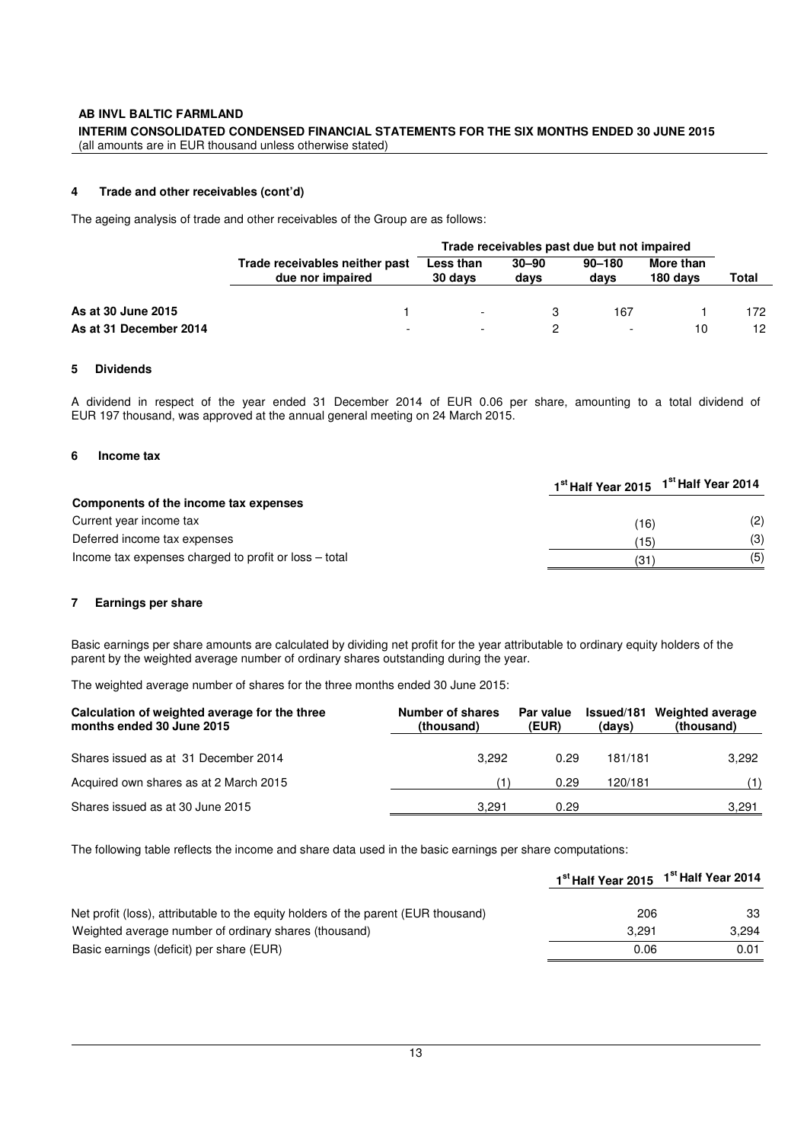#### **4 Trade and other receivables (cont'd)**

The ageing analysis of trade and other receivables of the Group are as follows:

|                        |                                                    | Trade receivables past due but not impaired |                   |                    |                       |       |
|------------------------|----------------------------------------------------|---------------------------------------------|-------------------|--------------------|-----------------------|-------|
|                        | Trade receivables neither past<br>due nor impaired | Less than<br>30 days                        | $30 - 90$<br>days | $90 - 180$<br>days | More than<br>180 days | Total |
| As at 30 June 2015     |                                                    | $\overline{\phantom{a}}$                    |                   | 167                |                       | 172   |
| As at 31 December 2014 | $\overline{\phantom{0}}$                           | $\overline{\phantom{0}}$                    |                   |                    | 10                    | 12    |

#### **5 Dividends**

A dividend in respect of the year ended 31 December 2014 of EUR 0.06 per share, amounting to a total dividend of EUR 197 thousand, was approved at the annual general meeting on 24 March 2015.

#### **6 Income tax**

|                                                       | 1st Half Year 2015 | 1 <sup>st</sup> Half Year 2014 |
|-------------------------------------------------------|--------------------|--------------------------------|
| Components of the income tax expenses                 |                    |                                |
| Current year income tax                               | (16)               | (2)                            |
| Deferred income tax expenses                          | (15)               | (3)                            |
| Income tax expenses charged to profit or loss – total | (31                | (5)                            |

#### **7 Earnings per share**

Basic earnings per share amounts are calculated by dividing net profit for the year attributable to ordinary equity holders of the parent by the weighted average number of ordinary shares outstanding during the year.

The weighted average number of shares for the three months ended 30 June 2015:

| Calculation of weighted average for the three<br>months ended 30 June 2015 | Number of shares<br>(thousand) | <b>Par value</b><br>(EUR) | (days)  | Issued/181 Weighted average<br>(thousand) |
|----------------------------------------------------------------------------|--------------------------------|---------------------------|---------|-------------------------------------------|
| Shares issued as at 31 December 2014                                       | 3.292                          | 0.29                      | 181/181 | 3.292                                     |
| Acquired own shares as at 2 March 2015                                     |                                | 0.29                      | 120/181 | (1)                                       |
| Shares issued as at 30 June 2015                                           | 3.291                          | 0.29                      |         | 3,291                                     |

The following table reflects the income and share data used in the basic earnings per share computations:

|                                                                                    | 1 <sup>st</sup> Half Year 2015 | 1 <sup>st</sup> Half Year 2014 |
|------------------------------------------------------------------------------------|--------------------------------|--------------------------------|
| Net profit (loss), attributable to the equity holders of the parent (EUR thousand) | 206                            | 33                             |
| Weighted average number of ordinary shares (thousand)                              | 3.291                          | 3.294                          |
| Basic earnings (deficit) per share (EUR)                                           | 0.06                           | 0.01                           |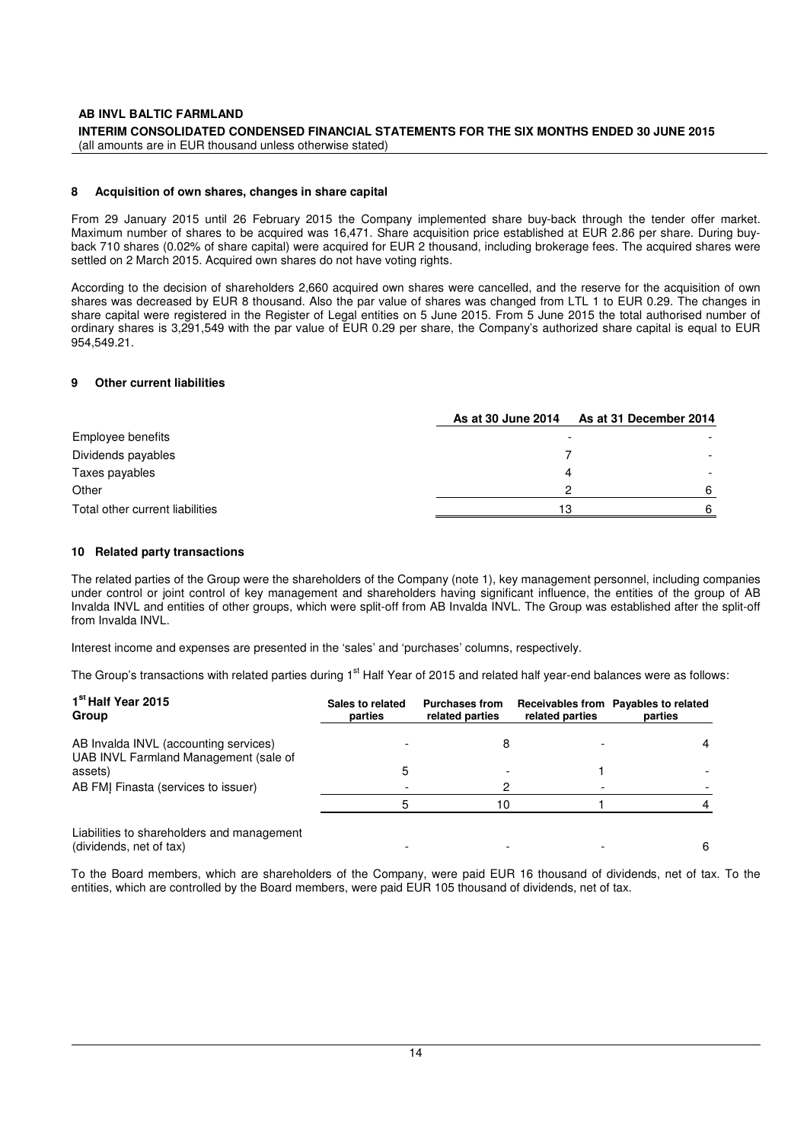#### **8 Acquisition of own shares, changes in share capital**

From 29 January 2015 until 26 February 2015 the Company implemented share buy-back through the tender offer market. Maximum number of shares to be acquired was 16,471. Share acquisition price established at EUR 2.86 per share. During buyback 710 shares (0.02% of share capital) were acquired for EUR 2 thousand, including brokerage fees. The acquired shares were settled on 2 March 2015. Acquired own shares do not have voting rights.

According to the decision of shareholders 2,660 acquired own shares were cancelled, and the reserve for the acquisition of own shares was decreased by EUR 8 thousand. Also the par value of shares was changed from LTL 1 to EUR 0.29. The changes in share capital were registered in the Register of Legal entities on 5 June 2015. From 5 June 2015 the total authorised number of ordinary shares is 3,291,549 with the par value of EUR 0.29 per share, the Company's authorized share capital is equal to EUR 954,549.21.

#### **9 Other current liabilities**

|                                 | As at 30 June 2014 | As at 31 December 2014 |
|---------------------------------|--------------------|------------------------|
| Employee benefits               |                    |                        |
| Dividends payables              |                    |                        |
| Taxes payables                  |                    |                        |
| Other                           |                    |                        |
| Total other current liabilities | 13                 |                        |

#### **10 Related party transactions**

The related parties of the Group were the shareholders of the Company (note 1), key management personnel, including companies under control or joint control of key management and shareholders having significant influence, the entities of the group of AB Invalda INVL and entities of other groups, which were split-off from AB Invalda INVL. The Group was established after the split-off from Invalda INVL.

Interest income and expenses are presented in the 'sales' and 'purchases' columns, respectively.

The Group's transactions with related parties during 1<sup>st</sup> Half Year of 2015 and related half year-end balances were as follows:

| 1 <sup>st</sup> Half Year 2015<br>Group                                        | Sales to related<br>parties | <b>Purchases from</b><br>related parties | related parties | Receivables from Payables to related<br>parties |
|--------------------------------------------------------------------------------|-----------------------------|------------------------------------------|-----------------|-------------------------------------------------|
| AB Invalda INVL (accounting services)<br>UAB INVL Farmland Management (sale of |                             |                                          |                 |                                                 |
| assets)                                                                        | 5                           |                                          |                 |                                                 |
| AB FMI Finasta (services to issuer)                                            |                             |                                          |                 |                                                 |
|                                                                                | 5                           | 10                                       |                 |                                                 |
| Liabilities to shareholders and management<br>(dividends, net of tax)          |                             |                                          |                 |                                                 |

To the Board members, which are shareholders of the Company, were paid EUR 16 thousand of dividends, net of tax. To the entities, which are controlled by the Board members, were paid EUR 105 thousand of dividends, net of tax.